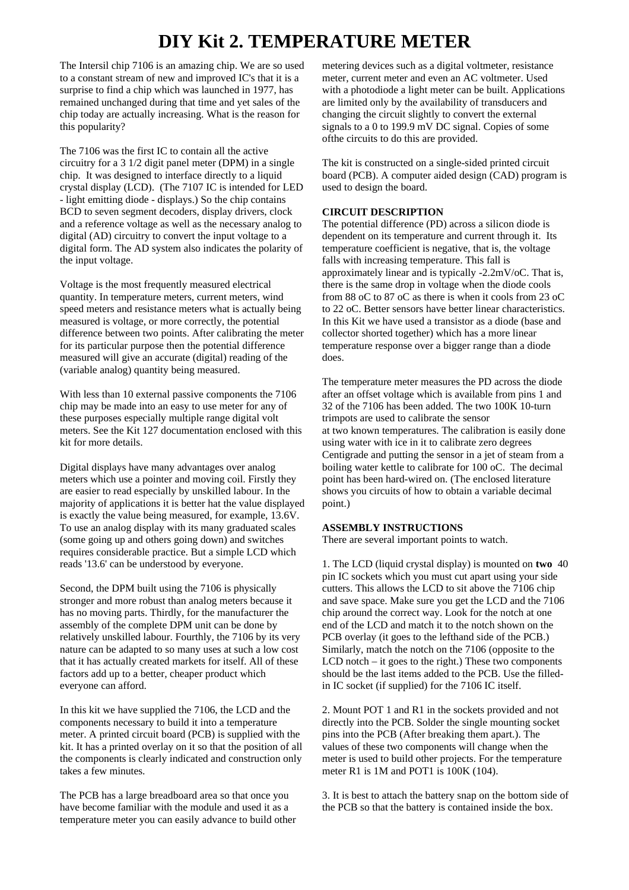# **DIY Kit 2. TEMPERATURE METER**

The Intersil chip 7106 is an amazing chip. We are so used to a constant stream of new and improved IC's that it is a surprise to find a chip which was launched in 1977, has remained unchanged during that time and yet sales of the chip today are actually increasing. What is the reason for this popularity?

The 7106 was the first IC to contain all the active circuitry for a 3 1/2 digit panel meter (DPM) in a single chip. It was designed to interface directly to a liquid crystal display (LCD). (The 7107 IC is intended for LED - light emitting diode - displays.) So the chip contains BCD to seven segment decoders, display drivers, clock and a reference voltage as well as the necessary analog to digital (AD) circuitry to convert the input voltage to a digital form. The AD system also indicates the polarity of the input voltage.

Voltage is the most frequently measured electrical quantity. In temperature meters, current meters, wind speed meters and resistance meters what is actually being measured is voltage, or more correctly, the potential difference between two points. After calibrating the meter for its particular purpose then the potential difference measured will give an accurate (digital) reading of the (variable analog) quantity being measured.

With less than 10 external passive components the 7106 chip may be made into an easy to use meter for any of these purposes especially multiple range digital volt meters. See the Kit 127 documentation enclosed with this kit for more details.

Digital displays have many advantages over analog meters which use a pointer and moving coil. Firstly they are easier to read especially by unskilled labour. In the majority of applications it is better hat the value displayed is exactly the value being measured, for example, 13.6V. To use an analog display with its many graduated scales (some going up and others going down) and switches requires considerable practice. But a simple LCD which reads '13.6' can be understood by everyone.

Second, the DPM built using the 7106 is physically stronger and more robust than analog meters because it has no moving parts. Thirdly, for the manufacturer the assembly of the complete DPM unit can be done by relatively unskilled labour. Fourthly, the 7106 by its very nature can be adapted to so many uses at such a low cost that it has actually created markets for itself. All of these factors add up to a better, cheaper product which everyone can afford.

In this kit we have supplied the 7106, the LCD and the components necessary to build it into a temperature meter. A printed circuit board (PCB) is supplied with the kit. It has a printed overlay on it so that the position of all the components is clearly indicated and construction only takes a few minutes.

The PCB has a large breadboard area so that once you have become familiar with the module and used it as a temperature meter you can easily advance to build other metering devices such as a digital voltmeter, resistance meter, current meter and even an AC voltmeter. Used with a photodiode a light meter can be built. Applications are limited only by the availability of transducers and changing the circuit slightly to convert the external signals to a 0 to 199.9 mV DC signal. Copies of some ofthe circuits to do this are provided.

The kit is constructed on a single-sided printed circuit board (PCB). A computer aided design (CAD) program is used to design the board.

### **CIRCUIT DESCRIPTION**

The potential difference (PD) across a silicon diode is dependent on its temperature and current through it. Its temperature coefficient is negative, that is, the voltage falls with increasing temperature. This fall is approximately linear and is typically -2.2mV/oC. That is, there is the same drop in voltage when the diode cools from 88 oC to 87 oC as there is when it cools from 23 oC to 22 oC. Better sensors have better linear characteristics. In this Kit we have used a transistor as a diode (base and collector shorted together) which has a more linear temperature response over a bigger range than a diode does.

The temperature meter measures the PD across the diode after an offset voltage which is available from pins 1 and 32 of the 7106 has been added. The two 100K 10-turn trimpots are used to calibrate the sensor at two known temperatures. The calibration is easily done using water with ice in it to calibrate zero degrees Centigrade and putting the sensor in a jet of steam from a boiling water kettle to calibrate for 100 oC. The decimal point has been hard-wired on. (The enclosed literature shows you circuits of how to obtain a variable decimal point.)

#### **ASSEMBLY INSTRUCTIONS**

There are several important points to watch.

1. The LCD (liquid crystal display) is mounted on **two** 40 pin IC sockets which you must cut apart using your side cutters. This allows the LCD to sit above the 7106 chip and save space. Make sure you get the LCD and the 7106 chip around the correct way. Look for the notch at one end of the LCD and match it to the notch shown on the PCB overlay (it goes to the lefthand side of the PCB.) Similarly, match the notch on the 7106 (opposite to the LCD notch – it goes to the right.) These two components should be the last items added to the PCB. Use the filledin IC socket (if supplied) for the 7106 IC itself.

2. Mount POT 1 and R1 in the sockets provided and not directly into the PCB. Solder the single mounting socket pins into the PCB (After breaking them apart.). The values of these two components will change when the meter is used to build other projects. For the temperature meter R1 is 1M and POT1 is 100K (104).

3. It is best to attach the battery snap on the bottom side of the PCB so that the battery is contained inside the box.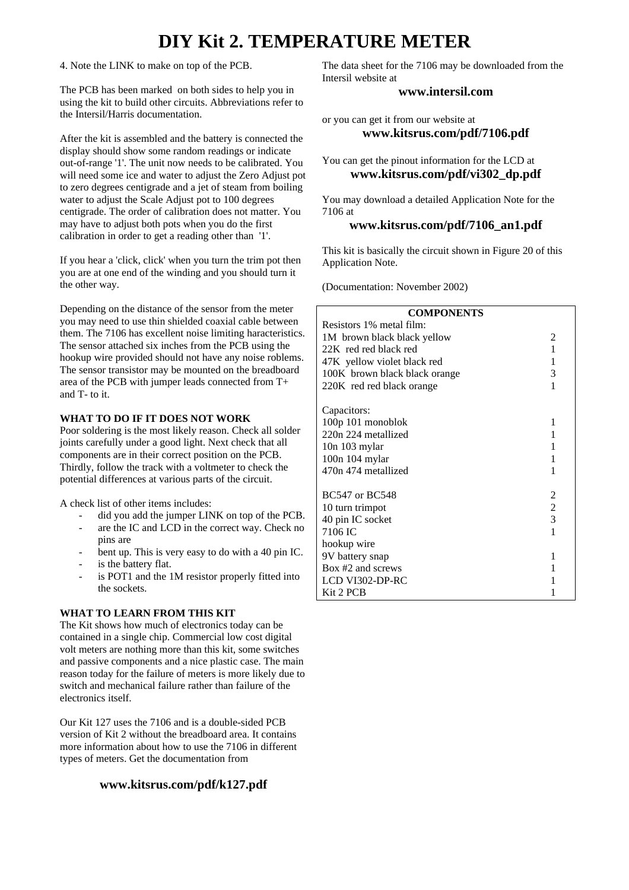# **DIY Kit 2. TEMPERATURE METER**

4. Note the LINK to make on top of the PCB.

The PCB has been marked on both sides to help you in using the kit to build other circuits. Abbreviations refer to the Intersil/Harris documentation.

After the kit is assembled and the battery is connected the display should show some random readings or indicate out-of-range '1'. The unit now needs to be calibrated. You will need some ice and water to adjust the Zero Adjust pot to zero degrees centigrade and a jet of steam from boiling water to adjust the Scale Adjust pot to 100 degrees centigrade. The order of calibration does not matter. You may have to adjust both pots when you do the first calibration in order to get a reading other than '1'.

If you hear a 'click, click' when you turn the trim pot then you are at one end of the winding and you should turn it the other way.

Depending on the distance of the sensor from the meter you may need to use thin shielded coaxial cable between them. The 7106 has excellent noise limiting haracteristics. The sensor attached six inches from the PCB using the hookup wire provided should not have any noise roblems. The sensor transistor may be mounted on the breadboard area of the PCB with jumper leads connected from T+ and T- to it.

#### **WHAT TO DO IF IT DOES NOT WORK**

Poor soldering is the most likely reason. Check all solder joints carefully under a good light. Next check that all components are in their correct position on the PCB. Thirdly, follow the track with a voltmeter to check the potential differences at various parts of the circuit.

A check list of other items includes:

- did you add the jumper LINK on top of the PCB.
- are the IC and LCD in the correct way. Check no pins are
- bent up. This is very easy to do with a 40 pin IC.
- is the battery flat.
- is POT1 and the 1M resistor properly fitted into the sockets.

## **WHAT TO LEARN FROM THIS KIT**

The Kit shows how much of electronics today can be contained in a single chip. Commercial low cost digital volt meters are nothing more than this kit, some switches and passive components and a nice plastic case. The main reason today for the failure of meters is more likely due to switch and mechanical failure rather than failure of the electronics itself.

Our Kit 127 uses the 7106 and is a double-sided PCB version of Kit 2 without the breadboard area. It contains more information about how to use the 7106 in different types of meters. Get the documentation from

# **www.kitsrus.com/pdf/k127.pdf**

The data sheet for the 7106 may be downloaded from the Intersil website at

### **www.intersil.com**

or you can get it from our website at **www.kitsrus.com/pdf/7106.pdf**

You can get the pinout information for the LCD at **www.kitsrus.com/pdf/vi302\_dp.pdf**

You may download a detailed Application Note for the 7106 at

## **www.kitsrus.com/pdf/7106\_an1.pdf**

This kit is basically the circuit shown in Figure 20 of this Application Note.

(Documentation: November 2002)

## **COMPONENTS** Resistors 1% metal film: 1M brown black black yellow 2 22K red red black red 1 47K yellow violet black red 1 100K brown black black orange 3 220K red red black orange 1 Capacitors: 100p 101 monoblok 1  $220n$  224 metallized 1 10n 103 mylar 1 100n 104 mylar 1 470n 474 metallized 1  $BC547$  or  $BC548$  2 10 turn trimpot 2 40 pin IC socket 3 7106 IC 1 hookup wire 9V battery snap 1 Box #2 and screws 1 LCD VI302-DP-RC 1 Kit 2 PCB 1